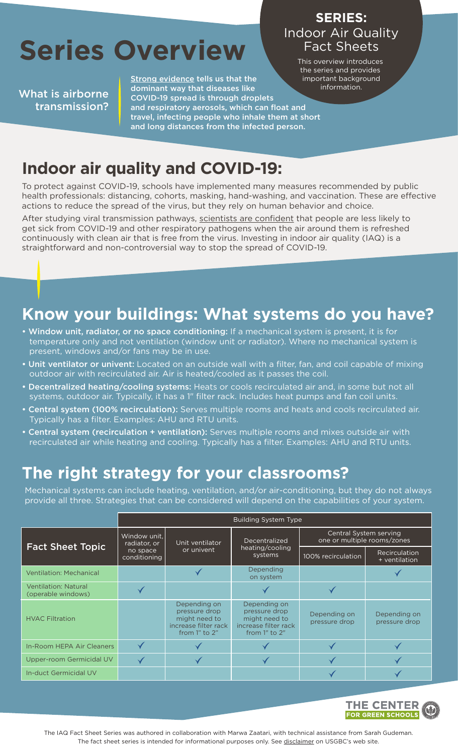# **Series Overview**

What is airborne transmission? [Strong evidence t](https://www.cdc.gov/coronavirus/2019-ncov/science/science-briefs/sars-cov-2-transmission.html)ells us that the dominant way that diseases like COVID-19 spread is through droplets and respiratory aerosols, which can float and travel, infecting people who inhale them at short and long distances from the infected person.

#### Indoor Air Quality Fact Sheets **SERIES:**

This overview introduces the series and provides important background information.

# **Indoor air quality and COVID-19:**

To protect against COVID-19, schools have implemented many measures recommended by public health professionals: distancing, cohorts, masking, hand-washing, and vaccination. These are effective actions to reduce the spread of the virus, but they rely on human behavior and choice.

After studying viral transmission pathways[, scientists are confident t](https://www.science.org/doi/10.1126/science.abd9149)hat people are less likely to get sick from COVID-19 and other respiratory pathogens when the air around them is refreshed continuously with clean air that is free from the virus. Investing in indoor air quality (IAQ) is a straightforward and non-controversial way to stop the spread of COVID-19.

## **Know your buildings: What systems do you have?**

- Window unit, radiator, or no space conditioning: If a mechanical system is present, it is for temperature only and not ventilation (window unit or radiator). Where no mechanical system is present, windows and/or fans may be in use.
- Unit ventilator or univent: Located on an outside wall with a filter, fan, and coil capable of mixing outdoor air with recirculated air. Air is heated/cooled as it passes the coil.
- Decentralized heating/cooling systems: Heats or cools recirculated air and, in some but not all systems, outdoor air. Typically, it has a 1" filter rack. Includes heat pumps and fan coil units.
- Central system (100% recirculation): Serves multiple rooms and heats and cools recirculated air. Typically has a filter. Examples: AHU and RTU units.
- Central system (recirculation + ventilation): Serves multiple rooms and mixes outside air with recirculated air while heating and cooling. Typically has a filter. Examples: AHU and RTU units.

### **The right strategy for your classrooms?**

Mechanical systems can include heating, ventilation, and/or air-conditioning, but they do not always provide all three. Strategies that can be considered will depend on the capabilities of your system.

|                                                   | <b>Building System Type</b>                              |                                                                                             |                                                                                               |                                                       |                                |
|---------------------------------------------------|----------------------------------------------------------|---------------------------------------------------------------------------------------------|-----------------------------------------------------------------------------------------------|-------------------------------------------------------|--------------------------------|
| <b>Fact Sheet Topic</b>                           | Window unit.<br>radiator, or<br>no space<br>conditioning | Unit ventilator<br>or univent                                                               | Decentralized<br>heating/cooling<br>systems                                                   | Central System serving<br>one or multiple rooms/zones |                                |
|                                                   |                                                          |                                                                                             |                                                                                               | 100% recirculation                                    | Recirculation<br>+ ventilation |
| <b>Ventilation: Mechanical</b>                    |                                                          |                                                                                             | Depending<br>on system                                                                        |                                                       |                                |
| <b>Ventilation: Natural</b><br>(operable windows) |                                                          |                                                                                             |                                                                                               |                                                       |                                |
| <b>HVAC Filtration</b>                            |                                                          | Depending on<br>pressure drop<br>might need to<br>increase filter rack<br>from $1"$ to $2"$ | Depending on<br>pressure drop<br>might need to<br>increase filter rack<br>from $1''$ to $2''$ | Depending on<br>pressure drop                         | Depending on<br>pressure drop  |
| In-Room HEPA Air Cleaners                         |                                                          |                                                                                             |                                                                                               |                                                       |                                |
| <b>Upper-room Germicidal UV</b>                   |                                                          |                                                                                             |                                                                                               |                                                       |                                |
| In-duct Germicidal UV                             |                                                          |                                                                                             |                                                                                               |                                                       |                                |



The IAQ Fact Sheet Series was authored in collaboration with Marwa Zaatari, with technical assistance from Sarah Gudeman. The fact sheet series is intended for informational purposes only. Se[e disclaimer o](https://www.usgbc.org/resources/school-iaq-fact-sheet-overview)n USGBC's web site.